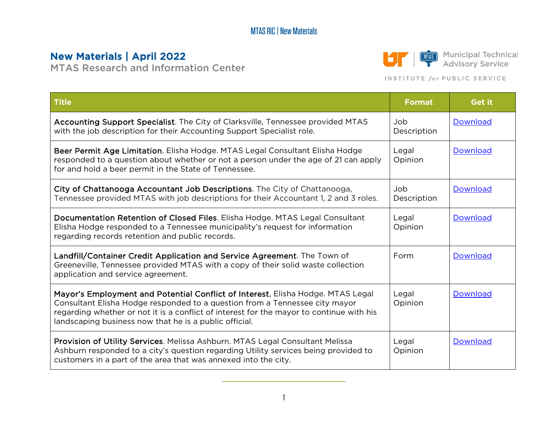## MTAS RIC | New Materials

## New Materials | April 2022

MTAS Research and Information Center



**MAS** Municipal Technical<br>
Advisory Service

## INSTITUTE for PUBLIC SERVICE

| <b>Title</b>                                                                                                                                                                                                                                                                                                         | <b>Format</b>       | <b>Get it</b>   |
|----------------------------------------------------------------------------------------------------------------------------------------------------------------------------------------------------------------------------------------------------------------------------------------------------------------------|---------------------|-----------------|
| Accounting Support Specialist. The City of Clarksville, Tennessee provided MTAS<br>with the job description for their Accounting Support Specialist role.                                                                                                                                                            | dol.<br>Description | Download        |
| Beer Permit Age Limitation. Elisha Hodge. MTAS Legal Consultant Elisha Hodge<br>responded to a question about whether or not a person under the age of 21 can apply<br>for and hold a beer permit in the State of Tennessee.                                                                                         | Legal<br>Opinion    | Download        |
| City of Chattanooga Accountant Job Descriptions. The City of Chattanooga,<br>Tennessee provided MTAS with job descriptions for their Accountant 1, 2 and 3 roles.                                                                                                                                                    | dol<br>Description  | <b>Download</b> |
| Documentation Retention of Closed Files. Elisha Hodge. MTAS Legal Consultant<br>Elisha Hodge responded to a Tennessee municipality's request for information<br>regarding records retention and public records.                                                                                                      | Legal<br>Opinion    | Download        |
| Landfill/Container Credit Application and Service Agreement. The Town of<br>Greeneville, Tennessee provided MTAS with a copy of their solid waste collection<br>application and service agreement.                                                                                                                   | Form                | <b>Download</b> |
| Mayor's Employment and Potential Conflict of Interest. Elisha Hodge. MTAS Legal<br>Consultant Elisha Hodge responded to a question from a Tennessee city mayor<br>regarding whether or not it is a conflict of interest for the mayor to continue with his<br>landscaping business now that he is a public official. | Legal<br>Opinion    | <b>Download</b> |
| Provision of Utility Services. Melissa Ashburn. MTAS Legal Consultant Melissa<br>Ashburn responded to a city's question regarding Utility services being provided to<br>customers in a part of the area that was annexed into the city.                                                                              | Legal<br>Opinion    | <b>Download</b> |